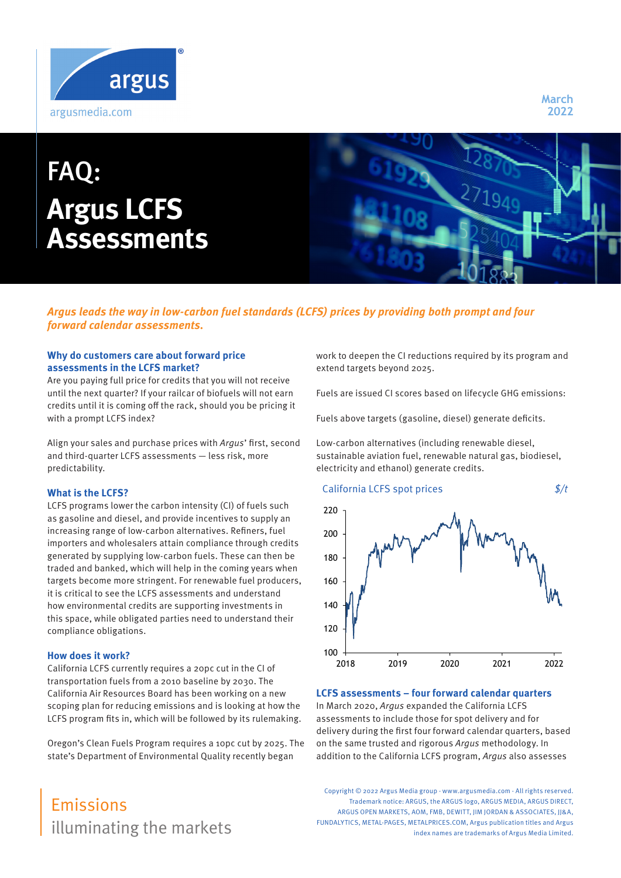

# FAQ: **Argus LCFS Assessments**

**March 2022**

# **Argus leads the way in low-carbon fuel standards (LCFS) prices by providing both prompt and four forward calendar assessments.**

# **Why do customers care about forward price assessments in the LCFS market?**

Are you paying full price for credits that you will not receive until the next quarter? If your railcar of biofuels will not earn credits until it is coming off the rack, should you be pricing it with a prompt LCFS index?

Align your sales and purchase prices with Argus' first, second and third-quarter LCFS assessments — less risk, more predictability.

#### **What is the LCFS?**

LCFS programs lower the carbon intensity (CI) of fuels such as gasoline and diesel, and provide incentives to supply an increasing range of low-carbon alternatives. Refiners, fuel importers and wholesalers attain compliance through credits generated by supplying low-carbon fuels. These can then be traded and banked, which will help in the coming years when targets become more stringent. For renewable fuel producers, it is critical to see the LCFS assessments and understand how environmental credits are supporting investments in this space, while obligated parties need to understand their compliance obligations.

#### **How does it work?**

California LCFS currently requires a 20pc cut in the CI of transportation fuels from a 2010 baseline by 2030. The California Air Resources Board has been working on a new scoping plan for reducing emissions and is looking at how the LCFS program fits in, which will be followed by its rulemaking.

Oregon's Clean Fuels Program requires a 10pc cut by 2025. The state's Department of Environmental Quality recently began

illuminating the markets Emissions

work to deepen the CI reductions required by its program and extend targets beyond 2025.

Fuels are issued CI scores based on lifecycle GHG emissions:

Fuels above targets (gasoline, diesel) generate deficits.

Low-carbon alternatives (including renewable diesel, sustainable aviation fuel, renewable natural gas, biodiesel, electricity and ethanol) generate credits.



#### **LCFS assessments – four forward calendar quarters**

In March 2020, Argus expanded the California LCFS assessments to include those for spot delivery and for delivery during the first four forward calendar quarters, based on the same trusted and rigorous Argus methodology. In addition to the California LCFS program, Argus also assesses

Copyright © 2022 Argus Media group - www.argusmedia.com - All rights reserved. Trademark notice: ARGUS, the ARGUS logo, ARGUS MEDIA, ARGUS DIRECT, ARGUS OPEN MARKETS, AOM, FMB, DEWITT, IIM JORDAN & ASSOCIATES, II&A, FUNDALYTICS, METAL-PAGES, METALPRICES.COM, Argus publication titles and Argus index names are trademarks of Argus Media Limited.